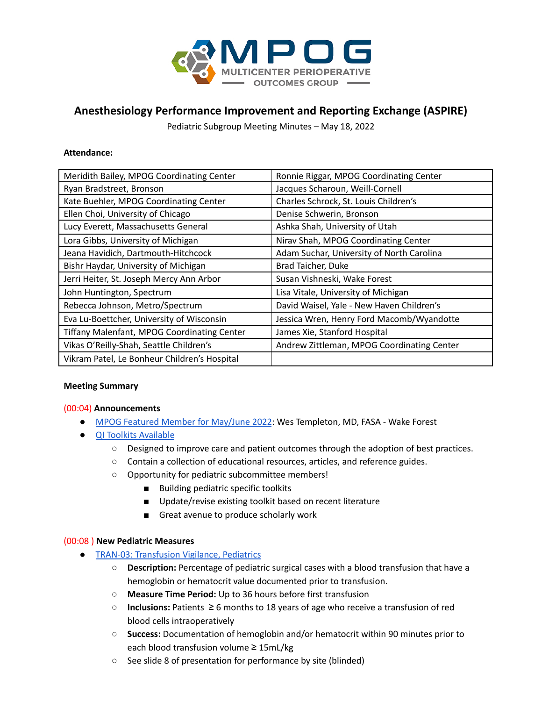

# **Anesthesiology Performance Improvement and Reporting Exchange (ASPIRE)**

Pediatric Subgroup Meeting Minutes – May 18, 2022

#### **Attendance:**

| Meridith Bailey, MPOG Coordinating Center          | Ronnie Riggar, MPOG Coordinating Center    |  |
|----------------------------------------------------|--------------------------------------------|--|
| Ryan Bradstreet, Bronson                           | Jacques Scharoun, Weill-Cornell            |  |
| Kate Buehler, MPOG Coordinating Center             | Charles Schrock, St. Louis Children's      |  |
| Ellen Choi, University of Chicago                  | Denise Schwerin, Bronson                   |  |
| Lucy Everett, Massachusetts General                | Ashka Shah, University of Utah             |  |
| Lora Gibbs, University of Michigan                 | Nirav Shah, MPOG Coordinating Center       |  |
| Jeana Havidich, Dartmouth-Hitchcock                | Adam Suchar, University of North Carolina  |  |
| Bishr Haydar, University of Michigan               | Brad Taicher, Duke                         |  |
| Jerri Heiter, St. Joseph Mercy Ann Arbor           | Susan Vishneski, Wake Forest               |  |
| John Huntington, Spectrum                          | Lisa Vitale, University of Michigan        |  |
| Rebecca Johnson, Metro/Spectrum                    | David Waisel, Yale - New Haven Children's  |  |
| Eva Lu-Boettcher, University of Wisconsin          | Jessica Wren, Henry Ford Macomb/Wyandotte  |  |
| <b>Tiffany Malenfant, MPOG Coordinating Center</b> | James Xie, Stanford Hospital               |  |
| Vikas O'Reilly-Shah, Seattle Children's            | Andrew Zittleman, MPOG Coordinating Center |  |
| Vikram Patel, Le Bonheur Children's Hospital       |                                            |  |

#### **Meeting Summary**

#### (00:04) **Announcements**

- MPOG Featured Member for [May/June](https://mpog.org/featuredmembers/) 2022: Wes Templeton, MD, FASA Wake Forest
- QI Toolkits [Available](https://mpog.org/toolkits/)
	- Designed to improve care and patient outcomes through the adoption of best practices.
	- Contain a collection of educational resources, articles, and reference guides.
	- Opportunity for pediatric subcommittee members!
		- Building pediatric specific toolkits
		- Update/revise existing toolkit based on recent literature
		- Great avenue to produce scholarly work

#### (00:08 ) **New Pediatric Measures**

- TRAN-03: [Transfusion](https://spec.mpog.org/Spec/Public/56) Vigilance, Pediatrics
	- **Description:** Percentage of pediatric surgical cases with a blood transfusion that have a hemoglobin or hematocrit value documented prior to transfusion.
	- **Measure Time Period:** Up to 36 hours before first transfusion
	- **Inclusions:** Patients ≥ 6 months to 18 years of age who receive a transfusion of red blood cells intraoperatively
	- **Success:** Documentation of hemoglobin and/or hematocrit within 90 minutes prior to each blood transfusion volume ≥ 15mL/kg
	- See slide 8 of presentation for performance by site (blinded)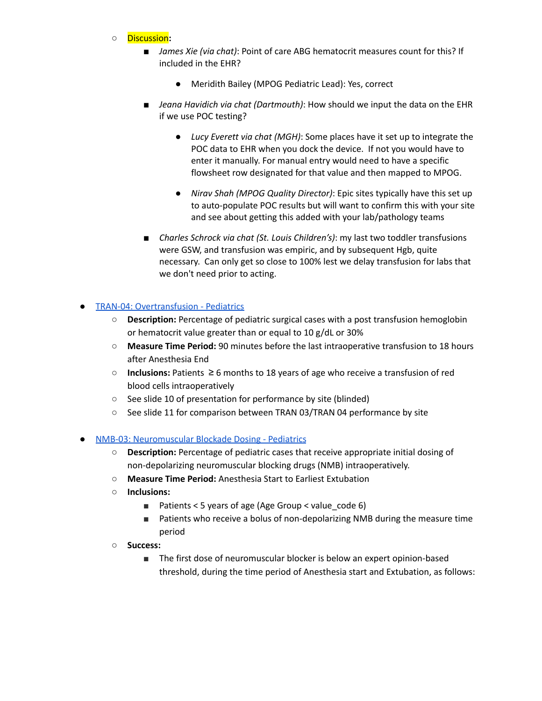- **○** Discussion**:**
	- *James Xie (via chat)*: Point of care ABG hematocrit measures count for this? If included in the EHR?
		- Meridith Bailey (MPOG Pediatric Lead): Yes, correct
	- *Jeana Havidich via chat (Dartmouth)*: How should we input the data on the EHR if we use POC testing?
		- *Lucy Everett via chat (MGH)*: Some places have it set up to integrate the POC data to EHR when you dock the device. If not you would have to enter it manually. For manual entry would need to have a specific flowsheet row designated for that value and then mapped to MPOG.
		- *Nirav Shah (MPOG Quality Director)*: Epic sites typically have this set up to auto-populate POC results but will want to confirm this with your site and see about getting this added with your lab/pathology teams
	- *Charles Schrock via chat (St. Louis Children's):* my last two toddler transfusions were GSW, and transfusion was empiric, and by subsequent Hgb, quite necessary. Can only get so close to 100% lest we delay transfusion for labs that we don't need prior to acting.

#### **TRAN-04: [Overtransfusion](https://spec.mpog.org/Spec/Public/57) - Pediatrics**

- **Description:** Percentage of pediatric surgical cases with a post transfusion hemoglobin or hematocrit value greater than or equal to 10 g/dL or 30%
- **Measure Time Period:** 90 minutes before the last intraoperative transfusion to 18 hours after Anesthesia End
- **Inclusions:** Patients ≥ 6 months to 18 years of age who receive a transfusion of red blood cells intraoperatively
- See slide 10 of presentation for performance by site (blinded)
- See slide 11 for comparison between TRAN 03/TRAN 04 performance by site
- NMB-03: [Neuromuscular](https://spec.mpog.org/Spec/Public/58) Blockade Dosing Pediatrics
	- **○ Description:** Percentage of pediatric cases that receive appropriate initial dosing of non-depolarizing neuromuscular blocking drugs (NMB) intraoperatively.
	- **○ Measure Time Period:** Anesthesia Start to Earliest Extubation
	- **○ Inclusions:**
		- Patients < 5 years of age (Age [Group](https://phenotypes.mpog.org/Age%20(groups)) < value\_code 6)
		- Patients who receive a bolus of non-depolarizing NMB during the measure time period
	- **○ Success:**
		- The first dose of neuromuscular blocker is below an expert opinion-based threshold, during the time period of Anesthesia start and Extubation, as follows: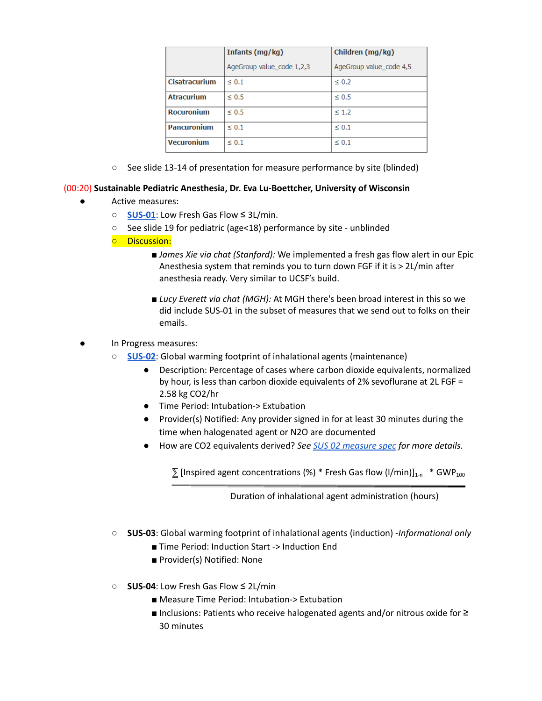|                      | Infants (mg/kg)           | Children (mg/kg)        |
|----------------------|---------------------------|-------------------------|
|                      | AgeGroup value code 1,2,3 | AgeGroup value_code 4,5 |
| <b>Cisatracurium</b> | $\leq 0.1$                | $\leq 0.2$              |
| <b>Atracurium</b>    | $\leq 0.5$                | $\leq 0.5$              |
| <b>Rocuronium</b>    | $\leq 0.5$                | $\leq 1.2$              |
| <b>Pancuronium</b>   | $\leq 0.1$                | $\leq 0.1$              |
| <b>Vecuronium</b>    | $\leq 0.1$                | $\leq 0.1$              |

○ See slide 13-14 of presentation for measure performance by site (blinded)

### (00:20) **Sustainable Pediatric Anesthesia, Dr. Eva Lu-Boettcher, University of Wisconsin**

- Active measures:
	- **[SUS-01](https://spec.mpog.org/Spec/Public/32)**: Low Fresh Gas Flow ≤ 3L/min.
	- See slide 19 for pediatric (age<18) performance by site unblinded
	- Discussion:
		- *James Xie via chat (Stanford):* We implemented a fresh gas flow alert in our Epic Anesthesia system that reminds you to turn down FGF if it is > 2L/min after anesthesia ready. Very similar to UCSF's build.
		- *Lucy Everett via chat (MGH):* At MGH there's been broad interest in this so we did include SUS-01 in the subset of measures that we send out to folks on their emails.
- In Progress measures:
	- **[SUS-02](https://docs.google.com/document/d/11AqGoVzcpARl7X5huQoikP8f2Q9B00PAabz0Y-S7HTg/edit?usp=sharing)**: Global warming footprint of inhalational agents (maintenance)
		- Description: Percentage of cases where carbon dioxide equivalents, normalized by hour, is less than carbon dioxide equivalents of 2% sevoflurane at 2L FGF = 2.58 kg CO2/hr
		- Time Period: Intubation-> Extubation
		- Provider(s) Notified: Any provider signed in for at least 30 minutes during the time when halogenated agent or N2O are documented
		- How are CO2 equivalents derived? *See SUS 02 [measure](https://docs.google.com/document/d/11AqGoVzcpARl7X5huQoikP8f2Q9B00PAabz0Y-S7HTg/edit?usp=sharing) spec for more details.*

 $\Sigma$  [Inspired agent concentrations (%) \* Fresh Gas flow (I/min)]<sub>1-n</sub> \* GWP<sub>100</sub>

Duration of inhalational agent administration (hours)

- **SUS-03**: Global warming footprint of inhalational agents (induction) -*Informational only*
	- Time Period: Induction Start -> Induction End
	- Provider(s) Notified: None
- **SUS-04**: Low Fresh Gas Flow ≤ 2L/min
	- Measure Time Period: Intubation-> Extubation
	- Inclusions: Patients who receive halogenated agents and/or nitrous oxide for ≥ 30 minutes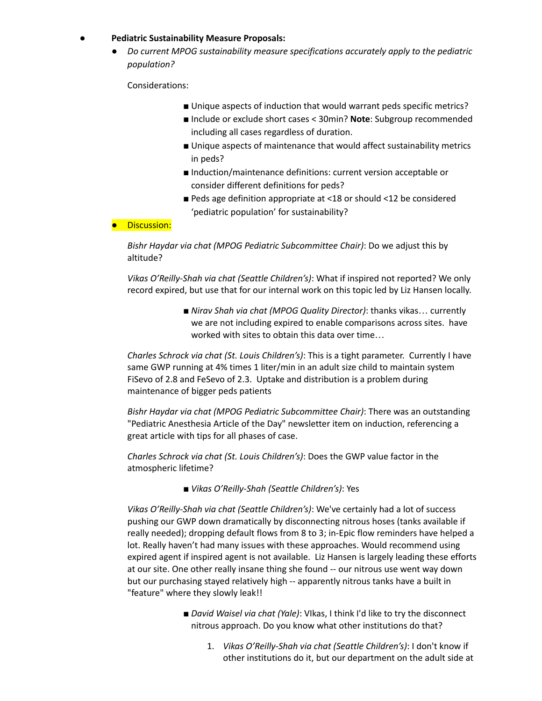#### **● Pediatric Sustainability Measure Proposals:**

● *Do current MPOG sustainability measure specifications accurately apply to the pediatric population?*

Considerations:

- Unique aspects of induction that would warrant peds specific metrics?
- Include or exclude short cases < 30min? **Note**: Subgroup recommended including all cases regardless of duration.
- Unique aspects of maintenance that would affect sustainability metrics in peds?
- Induction/maintenance definitions: current version acceptable or consider different definitions for peds?
- Peds age definition appropriate at <18 or should <12 be considered 'pediatric population' for sustainability?

#### ● Discussion:

*Bishr Haydar via chat (MPOG Pediatric Subcommittee Chair)*: Do we adjust this by altitude?

*Vikas O'Reilly-Shah via chat (Seattle Children's)*: What if inspired not reported? We only record expired, but use that for our internal work on this topic led by Liz Hansen locally.

> ■ *Nirav Shah via chat (MPOG Quality Director)*: thanks vikas… currently we are not including expired to enable comparisons across sites. have worked with sites to obtain this data over time…

*Charles Schrock via chat (St. Louis Children's)*: This is a tight parameter. Currently I have same GWP running at 4% times 1 liter/min in an adult size child to maintain system FiSevo of 2.8 and FeSevo of 2.3. Uptake and distribution is a problem during maintenance of bigger peds patients

*Bishr Haydar via chat (MPOG Pediatric Subcommittee Chair)*: There was an outstanding "Pediatric Anesthesia Article of the Day" newsletter item on induction, referencing a great article with tips for all phases of case.

*Charles Schrock via chat (St. Louis Children's)*: Does the GWP value factor in the atmospheric lifetime?

■ *Vikas O'Reilly-Shah (Seattle Children's)*: Yes

*Vikas O'Reilly-Shah via chat (Seattle Children's)*: We've certainly had a lot of success pushing our GWP down dramatically by disconnecting nitrous hoses (tanks available if really needed); dropping default flows from 8 to 3; in-Epic flow reminders have helped a lot. Really haven't had many issues with these approaches. Would recommend using expired agent if inspired agent is not available. Liz Hansen is largely leading these efforts at our site. One other really insane thing she found -- our nitrous use went way down but our purchasing stayed relatively high -- apparently nitrous tanks have a built in "feature" where they slowly leak!!

- *David Waisel via chat (Yale)*: VIkas, I think I'd like to try the disconnect nitrous approach. Do you know what other institutions do that?
	- 1. *Vikas O'Reilly-Shah via chat (Seattle Children's)*: I don't know if other institutions do it, but our department on the adult side at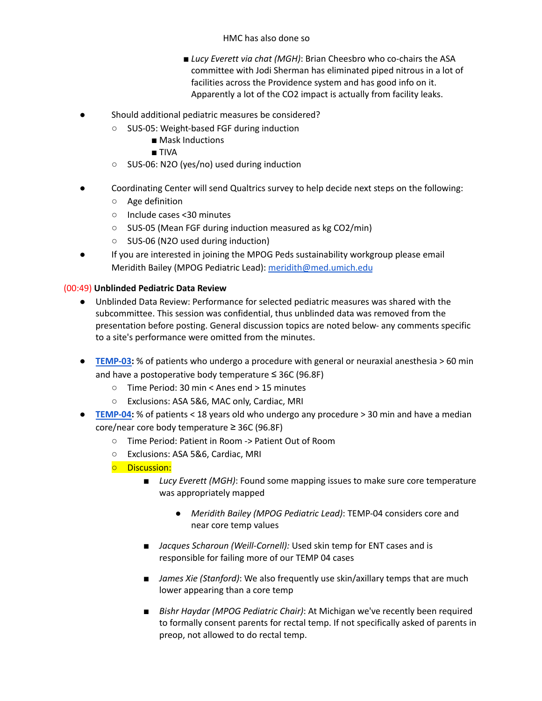#### HMC has also done so

- *Lucy Everett via chat (MGH)*: Brian Cheesbro who co-chairs the ASA committee with Jodi Sherman has eliminated piped nitrous in a lot of facilities across the Providence system and has good info on it. Apparently a lot of the CO2 impact is actually from facility leaks.
- Should additional pediatric measures be considered?
	- SUS-05: Weight-based FGF during induction
		- Mask Inductions
		- TIVA
	- SUS-06: N2O (yes/no) used during induction
- Coordinating Center will send Qualtrics survey to help decide next steps on the following:
	- Age definition
	- Include cases <30 minutes
	- SUS-05 (Mean FGF during induction measured as kg CO2/min)
	- SUS-06 (N2O used during induction)
- If you are interested in joining the MPOG Peds sustainability workgroup please email Meridith Bailey (MPOG Pediatric Lead): [meridith@med.umich.edu](mailto:meridith@med.umich.edu)

## (00:49) **Unblinded Pediatric Data Review**

- Unblinded Data Review: Performance for selected pediatric measures was shared with the subcommittee. This session was confidential, thus unblinded data was removed from the presentation before posting. General discussion topics are noted below- any comments specific to a site's performance were omitted from the minutes.
- **● [TEMP-03:](https://spec.mpog.org/Spec/Public/21)** % of patients who undergo a procedure with general or neuraxial anesthesia > 60 min and have a postoperative body temperature ≤ 36C (96.8F)
	- Time Period: 30 min < Anes end > 15 minutes
	- Exclusions: ASA 5&6, MAC only, Cardiac, MRI
- **● [TEMP-04:](https://spec.mpog.org/Spec/Public/40)** % of patients < 18 years old who undergo any procedure > 30 min and have a median core/near core body temperature ≥ 36C (96.8F)
	- Time Period: Patient in Room -> Patient Out of Room
	- Exclusions: ASA 5&6, Cardiac, MRI
	- Discussion:
		- *Lucy Everett (MGH)*: Found some mapping issues to make sure core temperature was appropriately mapped
			- *Meridith Bailey (MPOG Pediatric Lead)*: TEMP-04 considers core and near core temp values
		- *Jacques Scharoun (Weill-Cornell):* Used skin temp for ENT cases and is responsible for failing more of our TEMP 04 cases
		- *James Xie (Stanford)*: We also frequently use skin/axillary temps that are much lower appearing than a core temp
		- *Bishr Haydar (MPOG Pediatric Chair)*: At Michigan we've recently been required to formally consent parents for rectal temp. If not specifically asked of parents in preop, not allowed to do rectal temp.